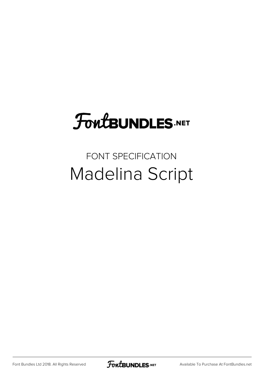## **FoutBUNDLES.NET**

## FONT SPECIFICATION Madelina Script

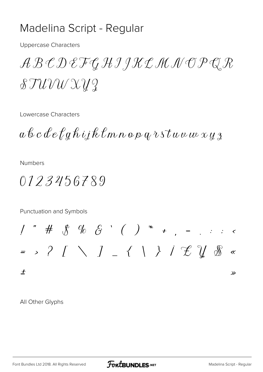## Madelina Script - Regular

**Uppercase Characters** 

ABCDEFGHIJKLMNOPQR  $\mathcal{STUVW}\mathcal{X} y\mathcal{Z}$ 

Lowercase Characters

 $a\,b\,c\,d\,e\,\ell\,g\,\hat h\,i\hskip-1.5pt\, j\,\hat k\,\ell\,m\,n\,o\,\rho\,q\,\imath\,\nu\,\tau\,\omega\,\nu\,\omega\,\nu\,\chi\,\chi\,\chi$ 

**Numbers** 

0123456789

Punctuation and Symbols

All Other Glyphs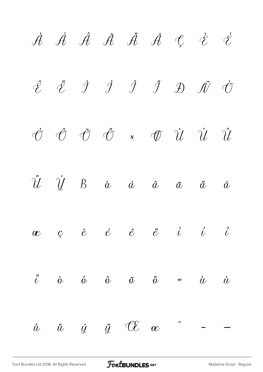$\dot{\mathcal{A}}$   $\dot{\mathcal{A}}$   $\ddot{\mathcal{A}}$   $\ddot{\mathcal{A}}$   $\dot{\mathcal{A}}$   $\mathcal{C}$   $\dot{\mathcal{C}}$  $\hat{\mathscr{E}}$   $\ddot{\mathscr{E}}$   $\dot{\mathscr{I}}$   $\dot{\mathscr{I}}$   $\ddot{\mathscr{I}}$   $\ddot{\mathscr{D}}$   $\ddot{\mathscr{O}}$  $\label{eq:10} \begin{array}{ccccccccccccc} \vec{\mathcal{O}} & \vec{\mathcal{O}} & \vec{\mathcal{O}} & \vec{\mathcal{O}} & \times & \vec{\mathcal{O}} & \vec{\mathcal{U}} & \vec{\mathcal{U}} & \vec{\mathcal{U}} & \vec{\mathcal{U}} & \vec{\mathcal{U}} \end{array}$  $\ddot{\mathcal{U}}$   $\dot{\mathcal{U}}$  B à  $\dot{\alpha}$   $\dot{\alpha}$   $\ddot{\alpha}$   $\ddot{\alpha}$   $\ddot{\alpha}$  $\begin{array}{cccccccccccccccccc} ae & & c & & \dot{e} & & \dot{e} & & e & & \dot{e} & & \dot{e} & & \dot{e} & & \dot{e} & & \dot{e} & & \end{array}$  $\ddot{i}$  à ó ô õ ö  $\div$  ù ú  $\hat{u}$   $\ddot{u}$   $\ddot{y}$   $\ddot{y}$   $\mathcal{CE}$   $\alpha$  $\hat{a}$  – –